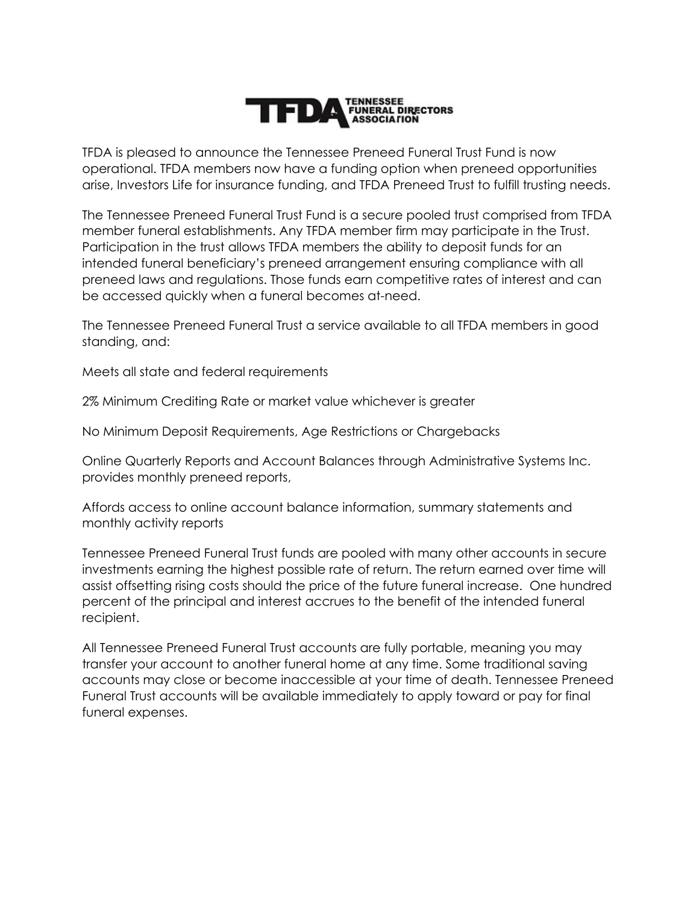

TFDA is pleased to announce the Tennessee Preneed Funeral Trust Fund is now operational. TFDA members now have a funding option when preneed opportunities arise, Investors Life for insurance funding, and TFDA Preneed Trust to fulfill trusting needs.

The Tennessee Preneed Funeral Trust Fund is a secure pooled trust comprised from TFDA member funeral establishments. Any TFDA member firm may participate in the Trust. Participation in the trust allows TFDA members the ability to deposit funds for an intended funeral beneficiary's preneed arrangement ensuring compliance with all preneed laws and regulations. Those funds earn competitive rates of interest and can be accessed quickly when a funeral becomes at-need.

The Tennessee Preneed Funeral Trust a service available to all TFDA members in good standing, and:

Meets all state and federal requirements

2% Minimum Crediting Rate or market value whichever is greater

No Minimum Deposit Requirements, Age Restrictions or Chargebacks

Online Quarterly Reports and Account Balances through Administrative Systems Inc. provides monthly preneed reports,

Affords access to online account balance information, summary statements and monthly activity reports

Tennessee Preneed Funeral Trust funds are pooled with many other accounts in secure investments earning the highest possible rate of return. The return earned over time will assist offsetting rising costs should the price of the future funeral increase. One hundred percent of the principal and interest accrues to the benefit of the intended funeral recipient.

All Tennessee Preneed Funeral Trust accounts are fully portable, meaning you may transfer your account to another funeral home at any time. Some traditional saving accounts may close or become inaccessible at your time of death. Tennessee Preneed Funeral Trust accounts will be available immediately to apply toward or pay for final funeral expenses.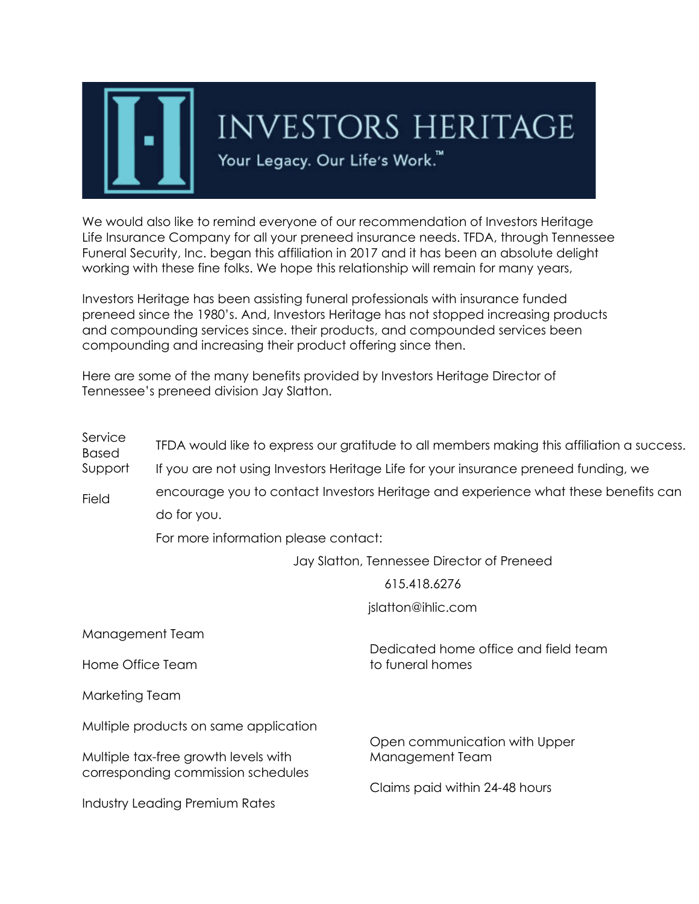

## **INVESTORS HERITAGE**

Your Legacy. Our Life's Work.™

We would also like to remind everyone of our recommendation of Investors Heritage Life Insurance Company for all your preneed insurance needs. TFDA, through Tennessee Funeral Security, Inc. began this affiliation in 2017 and it has been an absolute delight working with these fine folks. We hope this relationship will remain for many years,

Investors Heritage has been assisting funeral professionals with insurance funded preneed since the 1980's. And, Investors Heritage has not stopped increasing products and compounding services since. their products, and compounded services been compounding and increasing their product offering since then.

Here are some of the many benefits provided by Investors Heritage Director of Tennessee's preneed division Jay Slatton.

| Service<br><b>Based</b><br>Support                                                                                                                           | TFDA would like to express our gratitude to all members making this affiliation a success.<br>If you are not using Investors Heritage Life for your insurance preneed funding, we |                                                                                    |
|--------------------------------------------------------------------------------------------------------------------------------------------------------------|-----------------------------------------------------------------------------------------------------------------------------------------------------------------------------------|------------------------------------------------------------------------------------|
| Field                                                                                                                                                        | encourage you to contact Investors Heritage and experience what these benefits can<br>do for you.<br>For more information please contact:                                         |                                                                                    |
|                                                                                                                                                              |                                                                                                                                                                                   | Jay Slatton, Tennessee Director of Preneed<br>615.418.6276<br>jslatton@ihlic.com   |
| Management Team<br>Home Office Team<br>Marketing Team                                                                                                        |                                                                                                                                                                                   | Dedicated home office and field team<br>to funeral homes                           |
| Multiple products on same application<br>Multiple tax-free growth levels with<br>corresponding commission schedules<br><b>Industry Leading Premium Rates</b> |                                                                                                                                                                                   | Open communication with Upper<br>Management Team<br>Claims paid within 24-48 hours |